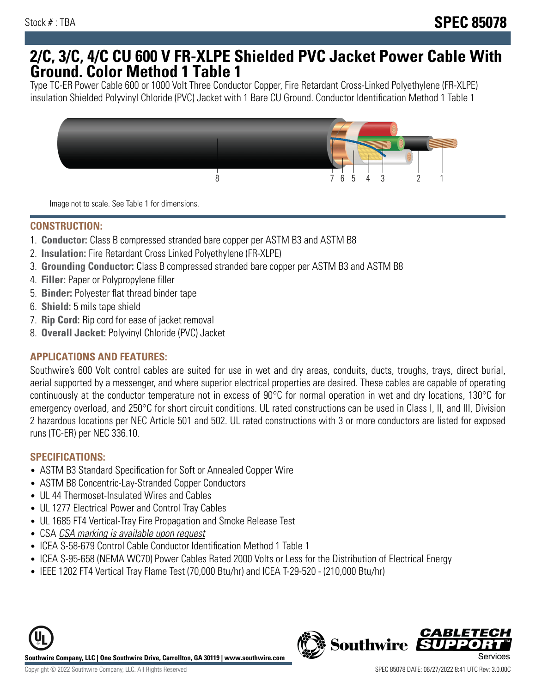## **2/C, 3/C, 4/C CU 600 V FR-XLPE Shielded PVC Jacket Power Cable With Ground. Color Method 1 Table 1**

Type TC-ER Power Cable 600 or 1000 Volt Three Conductor Copper, Fire Retardant Cross-Linked Polyethylene (FR-XLPE) insulation Shielded Polyvinyl Chloride (PVC) Jacket with 1 Bare CU Ground. Conductor Identification Method 1 Table 1



Image not to scale. See Table 1 for dimensions.

#### **CONSTRUCTION:**

- 1. **Conductor:** Class B compressed stranded bare copper per ASTM B3 and ASTM B8
- 2. **Insulation:** Fire Retardant Cross Linked Polyethylene (FR-XLPE)
- 3. **Grounding Conductor:** Class B compressed stranded bare copper per ASTM B3 and ASTM B8
- 4. **Filler:** Paper or Polypropylene filler
- 5. **Binder:** Polyester flat thread binder tape
- 6. **Shield:** 5 mils tape shield
- 7. **Rip Cord:** Rip cord for ease of jacket removal
- 8. **Overall Jacket:** Polyvinyl Chloride (PVC) Jacket

### **APPLICATIONS AND FEATURES:**

Southwire's 600 Volt control cables are suited for use in wet and dry areas, conduits, ducts, troughs, trays, direct burial, aerial supported by a messenger, and where superior electrical properties are desired. These cables are capable of operating continuously at the conductor temperature not in excess of 90°C for normal operation in wet and dry locations, 130°C for emergency overload, and 250°C for short circuit conditions. UL rated constructions can be used in Class I, II, and III, Division 2 hazardous locations per NEC Article 501 and 502. UL rated constructions with 3 or more conductors are listed for exposed runs (TC-ER) per NEC 336.10.

#### **SPECIFICATIONS:**

- ASTM B3 Standard Specification for Soft or Annealed Copper Wire
- ASTM B8 Concentric-Lay-Stranded Copper Conductors
- UL 44 Thermoset-Insulated Wires and Cables
- UL 1277 Electrical Power and Control Tray Cables
- UL 1685 FT4 Vertical-Tray Fire Propagation and Smoke Release Test
- CSA CSA marking is available upon request
- ICEA S-58-679 Control Cable Conductor Identification Method 1 Table 1
- ICEA S-95-658 (NEMA WC70) Power Cables Rated 2000 Volts or Less for the Distribution of Electrical Energy
- IEEE 1202 FT4 Vertical Tray Flame Test (70,000 Btu/hr) and ICEA T-29-520 (210,000 Btu/hr)



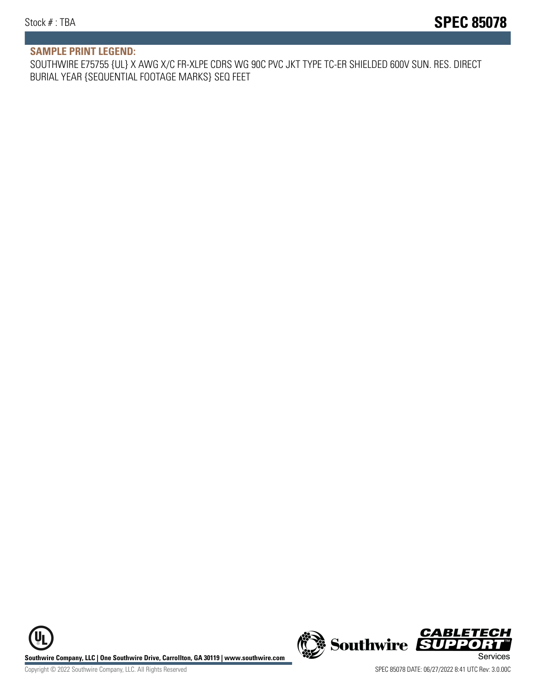#### **SAMPLE PRINT LEGEND:**

SOUTHWIRE E75755 {UL} X AWG X/C FR-XLPE CDRS WG 90C PVC JKT TYPE TC-ER SHIELDED 600V SUN. RES. DIRECT BURIAL YEAR {SEQUENTIAL FOOTAGE MARKS} SEQ FEET

UL **Southwire Company, LLC | One Southwire Drive, Carrollton, GA 30119 | www.southwire.com (New Southwire SUPPORTI**